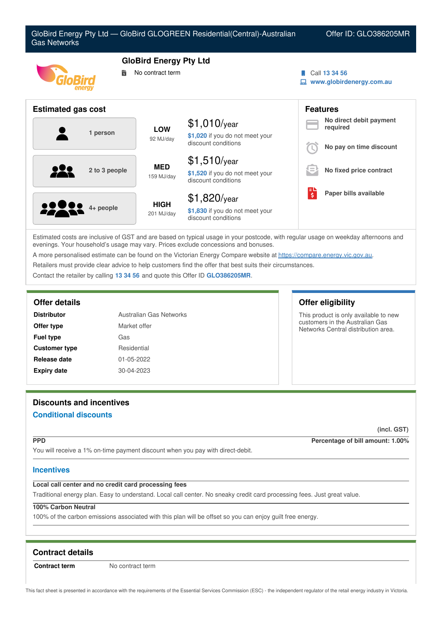

Estimated costs are inclusive of GST and are based on typical usage in your postcode, with regular usage on weekday afternoons and evenings. Your household's usage may vary. Prices exclude concessions and bonuses.

discount conditions

A more personalised estimate can be found on the Victorian Energy Compare website at <https://compare.energy.vic.gov.au>.

Retailers must provide clear advice to help customers find the offer that best suits their circumstances.

Contact the retailer by calling **13 34 56** and quote this Offer ID **GLO386205MR**.

# **Offer details Offer eligibility**

| <b>Distributor</b>   | Australian Gas Networks |
|----------------------|-------------------------|
| Offer type           | Market offer            |
| <b>Fuel type</b>     | Gas                     |
| <b>Customer type</b> | Residential             |
| Release date         | 01-05-2022              |
| <b>Expiry date</b>   | 30-04-2023              |

# **Discounts and incentives**

# **Conditional discounts**

**(incl. GST)**

**PPD Percentage of bill amount: 1.00%**

This product is only available to new customers in the Australian Gas Networks Central distribution area.

You will receive a 1% on-time payment discount when you pay with direct-debit.

#### **Incentives**

### **Local call center and no credit card processing fees**

Traditional energy plan. Easy to understand. Local call center. No sneaky credit card processing fees. Just great value.

# **100% Carbon Neutral**

100% of the carbon emissions associated with this plan will be offset so you can enjoy guilt free energy.

#### **Contract details**

**Contract term** No contract term

This fact sheet is presented in accordance with the requirements of the Essential Services Commission (ESC) - the independent regulator of the retail energy industry in Victoria.